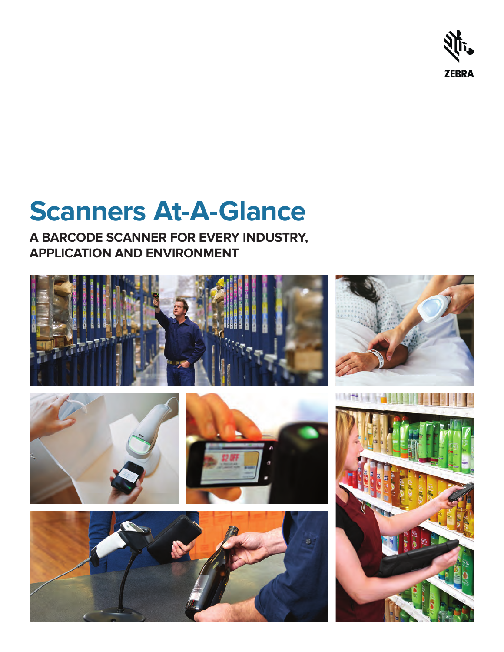

# **Scanners At-A-Glance**

**A BARCODE SCANNER FOR EVERY INDUSTRY, APPLICATION AND ENVIRONMENT**

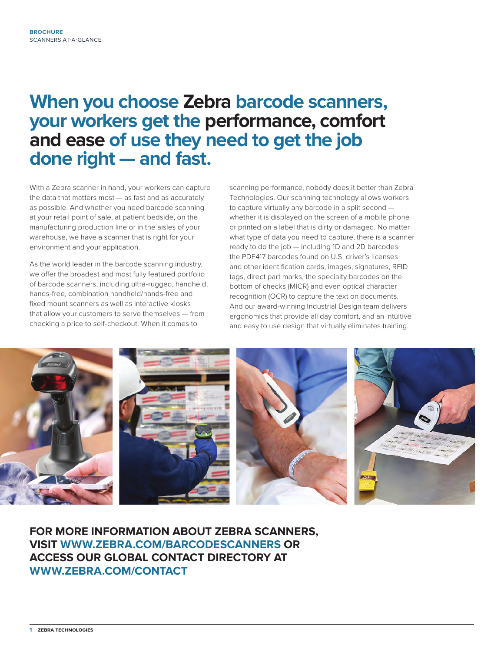# **When you choose Zebra barcode scanners, your workers get the performance, comfort and ease of use they need to get the job done right — and fast.**

With a Zebra scanner in hand, your workers can capture the data that matters most — as fast and as accurately as possible. And whether you need barcode scanning at your retail point of sale, at patient bedside, on the manufacturing production line or in the aisles of your warehouse, we have a scanner that is right for your environment and your application.

As the world leader in the barcode scanning industry, we offer the broadest and most fully featured portfolio of barcode scanners, including ultra-rugged, handheld, hands-free, combination handheld/hands-free and fixed mount scanners as well as interactive kiosks that allow your customers to serve themselves — from checking a price to self-checkout. When it comes to

scanning performance, nobody does it better than Zebra Technologies. Our scanning technology allows workers to capture virtually any barcode in a split second whether it is displayed on the screen of a mobile phone or printed on a label that is dirty or damaged. No matter what type of data you need to capture, there is a scanner ready to do the job — including 1D and 2D barcodes, the PDF417 barcodes found on U.S. driver's licenses and other identification cards, images, signatures, RFID tags, direct part marks, the specialty barcodes on the bottom of checks (MICR) and even optical character recognition (OCR) to capture the text on documents. And our award-winning Industrial Design team delivers ergonomics that provide all day comfort, and an intuitive and easy to use design that virtually eliminates training.



**FOR MORE INFORMATION ABOUT ZEBRA SCANNERS, VISIT [WWW.ZEBRA.COM/BARCODESCANNERS](http://www.ZEBRA.COM/barcodescanners) OR ACCESS OUR GLOBAL CONTACT DIRECTORY AT [WWW.ZEBRA.COM/CONTACT](http://www.ZEBRA.com/contact)**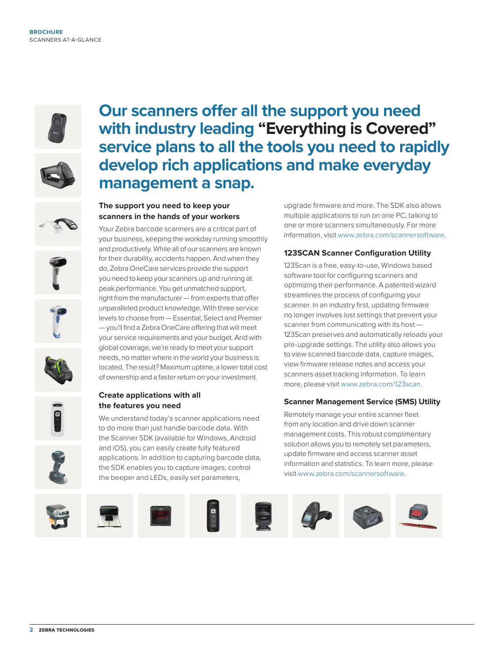



**Our scanners offer all the support you need with industry leading "Everything is Covered" service plans to all the tools you need to rapidly develop rich applications and make everyday management a snap.**









#### **Create applications with all the features you need**

**The support you need to keep your scanners in the hands of your workers** Your Zebra barcode scanners are a critical part of your business, keeping the workday running smoothly and productively. While all of our scanners are known for their durability, accidents happen. And when they do, Zebra OneCare services provide the support you need to keep your scanners up and running at peak performance. You get unmatched support, right from the manufacturer — from experts that offer unparalleled product knowledge. With three service levels to choose from — Essential, Select and Premier — you'll find a Zebra OneCare offering that will meet your service requirements and your budget. And with global coverage, we're ready to meet your support needs, no matter where in the world your business is located. The result? Maximum uptime, a lower total cost of ownership and a faster return on your investment.

We understand today's scanner applications need to do more than just handle barcode data. With the Scanner SDK (available for Windows, Android and iOS), you can easily create fully featured applications. In addition to capturing barcode data, the SDK enables you to capture images, control the beeper and LEDs, easily set parameters,

upgrade firmware and more. The SDK also allows multiple applications to run on one PC, talking to one or more scanners simultaneously. For more information, visit [www.zebra.com/](http://www.zebra.com/scannersoftware)scannersoftware.

#### **123SCAN Scanner Configuration Utility**

123Scan is a free, easy-to-use, Windows based software tool for configuring scanners and optimizing their performance. A patented wizard streamlines the process of configuring your scanner. In an industry first, updating firmware no longer involves lost settings that prevent your scanner from communicating with its host — 123Scan preserves and automatically reloads your pre-upgrade settings. The utility also allows you to view scanned barcode data, capture images, view firmware release notes and access your scanners asset tracking information. To learn more, please visit [www.zebra.com/123scan](http://www.zebra.com/123scan).

#### **Scanner Management Service (SMS) Utility**

Remotely manage your entire scanner fleet from any location and drive down scanner management costs. This robust complimentary solution allows you to remotely set parameters, update firmware and access scanner asset information and statistics. To learn more, please visit [www.zebra.com/s](http://www.zebra.com/scannersoftware)cannersoftware.

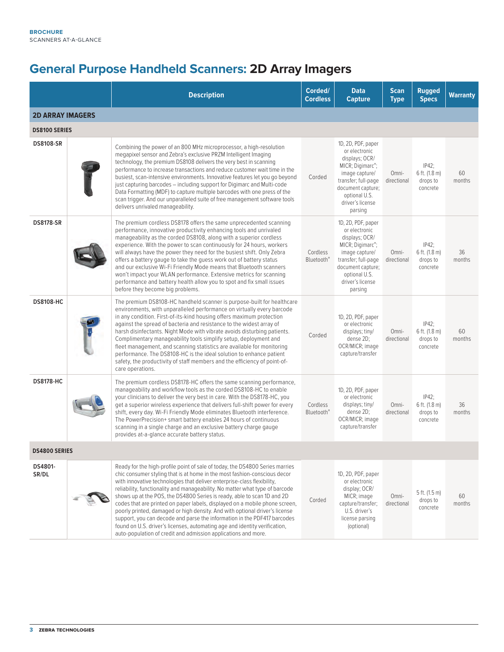### **General Purpose Handheld Scanners: 2D Array Imagers**

|                         | <b>Description</b>                                                                                                                                                                                                                                                                                                                                                                                                                                                                                                                                                                                                                                                                                                                                                                        | Corded/<br><b>Cordless</b>         | <b>Data</b><br><b>Capture</b>                                                                                                                                                                        | <b>Scan</b><br><b>Type</b> | <b>Rugged</b><br><b>Specs</b>                     | <b>Warranty</b> |
|-------------------------|-------------------------------------------------------------------------------------------------------------------------------------------------------------------------------------------------------------------------------------------------------------------------------------------------------------------------------------------------------------------------------------------------------------------------------------------------------------------------------------------------------------------------------------------------------------------------------------------------------------------------------------------------------------------------------------------------------------------------------------------------------------------------------------------|------------------------------------|------------------------------------------------------------------------------------------------------------------------------------------------------------------------------------------------------|----------------------------|---------------------------------------------------|-----------------|
| <b>2D ARRAY IMAGERS</b> |                                                                                                                                                                                                                                                                                                                                                                                                                                                                                                                                                                                                                                                                                                                                                                                           |                                    |                                                                                                                                                                                                      |                            |                                                   |                 |
| <b>DS8100 SERIES</b>    |                                                                                                                                                                                                                                                                                                                                                                                                                                                                                                                                                                                                                                                                                                                                                                                           |                                    |                                                                                                                                                                                                      |                            |                                                   |                 |
| <b>DS8108-SR</b>        | Combining the power of an 800 MHz microprocessor, a high-resolution<br>megapixel sensor and Zebra's exclusive PRZM Intelligent Imaging<br>technology, the premium DS8108 delivers the very best in scanning<br>performance to increase transactions and reduce customer wait time in the<br>busiest, scan-intensive environments. Innovative features let you go beyond<br>just capturing barcodes – including support for Digimarc and Multi-code<br>Data Formatting (MDF) to capture multiple barcodes with one press of the<br>scan trigger. And our unparalleled suite of free management software tools<br>delivers unrivaled manageability.                                                                                                                                         | Corded                             | 1D, 2D, PDF, paper<br>or electronic<br>displays; OCR/<br>MICR; Digimarc®;<br>image capture/<br>transfer; full-page<br>document capture;<br>optional U.S.<br>driver's license<br>parsing              | Omni-<br>directional       | $IP42$ ;<br>6 ft. (1.8 m)<br>drops to<br>concrete | 60<br>months    |
| <b>DS8178-SR</b>        | The premium cordless DS8178 offers the same unprecedented scanning<br>performance, innovative productivity enhancing tools and unrivaled<br>manageability as the corded DS8108, along with a superior cordless<br>experience. With the power to scan continuously for 24 hours, workers<br>will always have the power they need for the busiest shift. Only Zebra<br>offers a battery gauge to take the guess work out of battery status<br>and our exclusive Wi-Fi Friendly Mode means that Bluetooth scanners<br>won't impact your WLAN performance. Extensive metrics for scanning<br>performance and battery health allow you to spot and fix small issues<br>before they become big problems.                                                                                        | Cordless<br>Bluetooth <sup>®</sup> | 1D, 2D, PDF, paper<br>or electronic<br>displays; OCR/<br>MICR; Digimarc <sup>®</sup> ;<br>image capture/<br>transfer; full-page<br>document capture;<br>optional U.S.<br>driver's license<br>parsing | Omni-<br>directional       | $IP42$ ;<br>6 ft. (1.8 m)<br>drops to<br>concrete | 36<br>months    |
| <b>DS8108-HC</b>        | The premium DS8108-HC handheld scanner is purpose-built for healthcare<br>environments, with unparalleled performance on virtually every barcode<br>in any condition. First-of-its-kind housing offers maximum protection<br>against the spread of bacteria and resistance to the widest array of<br>harsh disinfectants. Night Mode with vibrate avoids disturbing patients.<br>Complimentary manageability tools simplify setup, deployment and<br>fleet management, and scanning statistics are available for monitoring<br>performance. The DS8108-HC is the ideal solution to enhance patient<br>safety, the productivity of staff members and the efficiency of point-of-<br>care operations.                                                                                       | Corded                             | 1D, 2D, PDF, paper<br>or electronic<br>displays; tiny/<br>dense 2D;<br>OCR/MICR; image<br>capture/transfer                                                                                           | Omni-<br>directional       | $IP42$ ;<br>6 ft. (1.8 m)<br>drops to<br>concrete | 60<br>months    |
| <b>DS8178-HC</b>        | The premium cordless DS8178-HC offers the same scanning performance,<br>manageability and workflow tools as the corded DS8108-HC to enable<br>your clinicians to deliver the very best in care. With the DS8178-HC, you<br>get a superior wireless experience that delivers full-shift power for every<br>shift, every day. Wi-Fi Friendly Mode eliminates Bluetooth interference.<br>The PowerPrecision+ smart battery enables 24 hours of continuous<br>scanning in a single charge and an exclusive battery charge gauge<br>provides at-a-glance accurate battery status.                                                                                                                                                                                                              | Cordless<br>Bluetooth <sup>®</sup> | 1D, 2D, PDF, paper<br>or electronic<br>displays; tiny/<br>dense 2D:<br>OCR/MICR; image<br>capture/transfer                                                                                           | Omni-<br>directional       | $IP42$ ;<br>6 ft. (1.8 m)<br>drops to<br>concrete | 36<br>months    |
| <b>DS4800 SERIES</b>    |                                                                                                                                                                                                                                                                                                                                                                                                                                                                                                                                                                                                                                                                                                                                                                                           |                                    |                                                                                                                                                                                                      |                            |                                                   |                 |
| DS4801-<br>SR/DL        | Ready for the high-profile point of sale of today, the DS4800 Series marries<br>chic consumer styling that is at home in the most fashion-conscious decor<br>with innovative technologies that deliver enterprise-class flexibility,<br>reliability, functionality and manageability. No matter what type of barcode<br>shows up at the POS, the DS4800 Series is ready, able to scan 1D and 2D<br>codes that are printed on paper labels, displayed on a mobile phone screen,<br>poorly printed, damaged or high density. And with optional driver's license<br>support, you can decode and parse the information in the PDF417 barcodes<br>found on U.S. driver's licenses, automating age and identity verification,<br>auto-population of credit and admission applications and more. | Corded                             | 1D, 2D, PDF, paper<br>or electronic<br>display; OCR/<br>MICR; image<br>capture/transfer;<br>U.S. driver's<br>license parsing<br>(optional)                                                           | Omni-<br>directional       | 5 ft. (1.5 m)<br>drops to<br>concrete             | 60<br>months    |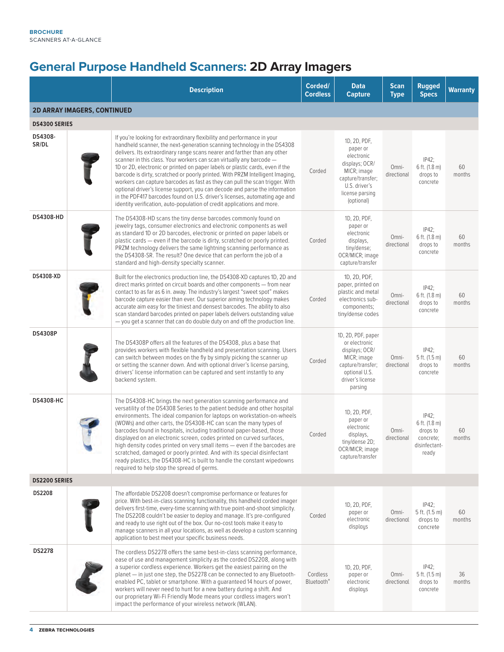# **General Purpose Handheld Scanners: 2D Array Imagers**

|                                    | <b>Description</b>                                                                                                                                                                                                                                                                                                                                                                                                                                                                                                                                                                                                                                                                                                                                                                                | Corded/<br><b>Cordless</b>                | <b>Data</b><br><b>Capture</b>                                                                                                                  | <b>Scan</b><br><b>Type</b> | <b>Rugged</b><br><b>Specs</b>                                                | <b>Warranty</b> |
|------------------------------------|---------------------------------------------------------------------------------------------------------------------------------------------------------------------------------------------------------------------------------------------------------------------------------------------------------------------------------------------------------------------------------------------------------------------------------------------------------------------------------------------------------------------------------------------------------------------------------------------------------------------------------------------------------------------------------------------------------------------------------------------------------------------------------------------------|-------------------------------------------|------------------------------------------------------------------------------------------------------------------------------------------------|----------------------------|------------------------------------------------------------------------------|-----------------|
| <b>2D ARRAY IMAGERS, CONTINUED</b> |                                                                                                                                                                                                                                                                                                                                                                                                                                                                                                                                                                                                                                                                                                                                                                                                   |                                           |                                                                                                                                                |                            |                                                                              |                 |
| <b>DS4300 SERIES</b>               |                                                                                                                                                                                                                                                                                                                                                                                                                                                                                                                                                                                                                                                                                                                                                                                                   |                                           |                                                                                                                                                |                            |                                                                              |                 |
| DS4308-<br>SR/DL                   | If you're looking for extraordinary flexibility and performance in your<br>handheld scanner, the next-generation scanning technology in the DS4308<br>delivers. Its extraordinary range scans nearer and farther than any other<br>scanner in this class. Your workers can scan virtually any barcode -<br>1D or 2D, electronic or printed on paper labels or plastic cards, even if the<br>barcode is dirty, scratched or poorly printed. With PRZM Intelligent Imaging,<br>workers can capture barcodes as fast as they can pull the scan trigger. With<br>optional driver's license support, you can decode and parse the information<br>in the PDF417 barcodes found on U.S. driver's licenses, automating age and<br>identity verification, auto-population of credit applications and more. | Corded                                    | 1D, 2D, PDF,<br>paper or<br>electronic<br>displays; OCR/<br>MICR; image<br>capture/transfer;<br>U.S. driver's<br>license parsing<br>(optional) | Omni-<br>directional       | $IP42$ ;<br>6 ft. (1.8 m)<br>drops to<br>concrete                            | 60<br>months    |
| DS4308-HD                          | The DS4308-HD scans the tiny dense barcodes commonly found on<br>jewelry tags, consumer electronics and electronic components as well<br>as standard 1D or 2D barcodes, electronic or printed on paper labels or<br>plastic cards - even if the barcode is dirty, scratched or poorly printed.<br>PRZM technology delivers the same lightning scanning performance as<br>the DS4308-SR. The result? One device that can perform the job of a<br>standard and high-density specialty scanner.                                                                                                                                                                                                                                                                                                      | Corded                                    | 1D, 2D, PDF,<br>paper or<br>electronic<br>displays,<br>tiny/dense;<br>OCR/MICR; image<br>capture/transfer                                      | Omni-<br>directional       | $IP42$ ;<br>6 ft. (1.8 m)<br>drops to<br>concrete                            | 60<br>months    |
| DS4308-XD                          | Built for the electronics production line, the DS4308-XD captures 1D, 2D and<br>direct marks printed on circuit boards and other components - from near<br>contact to as far as 6 in. away. The industry's largest "sweet spot" makes<br>barcode capture easier than ever. Our superior aiming technology makes<br>accurate aim easy for the tiniest and densest barcodes. The ability to also<br>scan standard barcodes printed on paper labels delivers outstanding value<br>- you get a scanner that can do double duty on and off the production line.                                                                                                                                                                                                                                        | Corded                                    | 1D, 2D, PDF,<br>paper, printed on<br>plastic and metal<br>electronics sub-<br>components;<br>tiny/dense codes                                  | Omni-<br>directional       | IP42;<br>6 ft. (1.8 m)<br>drops to<br>concrete                               | 60<br>months    |
| <b>DS4308P</b>                     | The DS4308P offers all the features of the DS4308, plus a base that<br>provides workers with flexible handheld and presentation scanning. Users<br>can switch between modes on the fly by simply picking the scanner up<br>or setting the scanner down. And with optional driver's license parsing,<br>drivers' license information can be captured and sent instantly to any<br>backend system.                                                                                                                                                                                                                                                                                                                                                                                                  | Corded                                    | 1D, 2D, PDF, paper<br>or electronic<br>displays; OCR/<br>MICR; image<br>capture/transfer;<br>optional U.S.<br>driver's license<br>parsing      | Omni-<br>directional       | IP42;<br>5 ft. (1.5 m)<br>drops to<br>concrete                               | 60<br>months    |
| <b>DS4308-HC</b>                   | The DS4308-HC brings the next generation scanning performance and<br>versatility of the DS4308 Series to the patient bedside and other hospital<br>environments. The ideal companion for laptops on workstation-on-wheels<br>(WOWs) and other carts, the DS4308-HC can scan the many types of<br>barcodes found in hospitals, including traditional paper-based, those<br>displayed on an electronic screen, codes printed on curved surfaces,<br>high density codes printed on very small items — even if the barcodes are<br>scratched, damaged or poorly printed. And with its special disinfectant<br>ready plastics, the DS4308-HC is built to handle the constant wipedowns<br>required to help stop the spread of germs.                                                                   | Corded                                    | 1D, 2D, PDF,<br>paper or<br>electronic<br>displays,<br>tiny/dense 2D;<br>OCR/MICR; image<br>capture/transfer                                   | Omni-<br>directional       | $IP42$ ;<br>6 ft. (1.8 m)<br>drops to<br>concrete;<br>disinfectant-<br>ready | 60<br>months    |
| <b>DS2200 SERIES</b>               |                                                                                                                                                                                                                                                                                                                                                                                                                                                                                                                                                                                                                                                                                                                                                                                                   |                                           |                                                                                                                                                |                            |                                                                              |                 |
| DS2208                             | The affordable DS2208 doesn't compromise performance or features for<br>price. With best-in-class scanning functionality, this handheld corded imager<br>delivers first-time, every-time scanning with true point-and-shoot simplicity.<br>The DS2208 couldn't be easier to deploy and manage. It's pre-configured<br>and ready to use right out of the box. Our no-cost tools make it easy to<br>manage scanners in all your locations, as well as develop a custom scanning<br>application to best meet your specific business needs.                                                                                                                                                                                                                                                           | Corded                                    | 1D, 2D, PDF,<br>paper or<br>electronic<br>displays                                                                                             | Omni-<br>directional       | IP42;<br>5 ft. (1.5 m)<br>drops to<br>concrete                               | 60<br>months    |
| <b>DS2278</b>                      | The cordless DS2278 offers the same best-in-class scanning performance,<br>ease of use and management simplicity as the corded DS2208, along with<br>a superior cordless experience. Workers get the easiest pairing on the<br>planet - in just one step, the DS2278 can be connected to any Bluetooth-<br>enabled PC, tablet or smartphone. With a guaranteed 14 hours of power,<br>workers will never need to hunt for a new battery during a shift. And<br>our proprietary Wi-Fi Friendly Mode means your cordless imagers won't<br>impact the performance of your wireless network (WLAN).                                                                                                                                                                                                    | Cordless<br><b>Bluetooth</b> <sup>®</sup> | 1D, 2D, PDF,<br>paper or<br>electronic<br>displays                                                                                             | Omni-<br>directional       | IP42;<br>5 ft. (1.5 m)<br>drops to<br>concrete                               | 36<br>months    |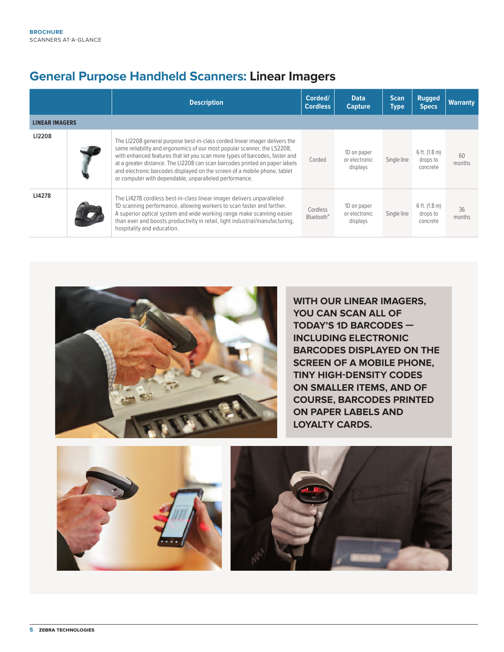### **General Purpose Handheld Scanners: Linear Imagers**

|                       | <b>Description</b>                                                                                                                                                                                                                                                                                                                                                                                                                                          | Corded/<br><b>Cordless</b>         | <b>Data</b><br><b>Capture</b>            | <b>Scan</b><br><b>Type</b> | <b>Rugged</b><br><b>Specs</b>         | <b>Warranty</b> |
|-----------------------|-------------------------------------------------------------------------------------------------------------------------------------------------------------------------------------------------------------------------------------------------------------------------------------------------------------------------------------------------------------------------------------------------------------------------------------------------------------|------------------------------------|------------------------------------------|----------------------------|---------------------------------------|-----------------|
| <b>LINEAR IMAGERS</b> |                                                                                                                                                                                                                                                                                                                                                                                                                                                             |                                    |                                          |                            |                                       |                 |
| LI2208                | The LI2208 general purpose best-in-class corded linear imager delivers the<br>same reliability and ergonomics of our most popular scanner, the LS2208,<br>with enhanced features that let you scan more types of barcodes, faster and<br>at a greater distance. The LI2208 can scan barcodes printed on paper labels<br>and electronic barcodes displayed on the screen of a mobile phone, tablet<br>or computer with dependable, unparalleled performance. | Corded                             | 1D on paper<br>or electronic<br>displays | Single line                | 6 ft. (1.8 m)<br>drops to<br>concrete | 60<br>months    |
| LI4278                | The LI4278 cordless best-in-class linear imager delivers unparalleled<br>1D scanning performance, allowing workers to scan faster and farther.<br>A superior optical system and wide working range make scanning easier<br>than ever and boosts productivity in retail, light industrial/manufacturing,<br>hospitality and education.                                                                                                                       | Cordless<br>Bluetooth <sup>®</sup> | 1D on paper<br>or electronic<br>displays | Single line                | 6 ft. (1.8 m)<br>drops to<br>concrete | 36<br>months    |



**WITH OUR LINEAR IMAGERS, YOU CAN SCAN ALL OF TODAY'S 1D BARCODES — INCLUDING ELECTRONIC BARCODES DISPLAYED ON THE SCREEN OF A MOBILE PHONE, TINY HIGH-DENSITY CODES ON SMALLER ITEMS, AND OF COURSE, BARCODES PRINTED ON PAPER LABELS AND LOYALTY CARDS.**

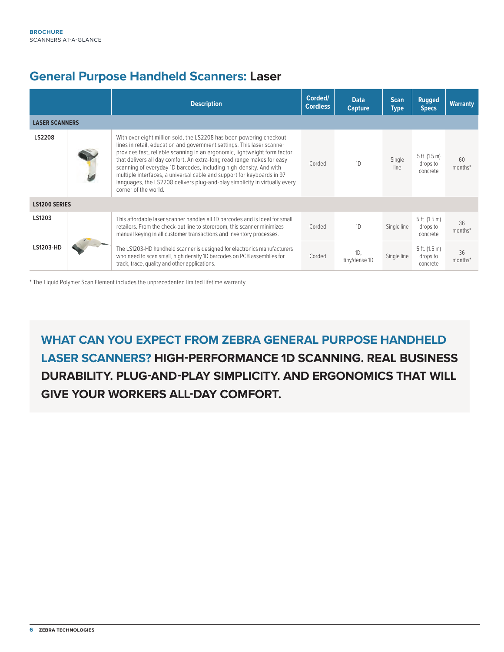#### **General Purpose Handheld Scanners: Laser**

|                       | <b>Description</b>                                                                                                                                                                                                                                                                                                                                                                                                                                                                                                                                         | Corded/<br><b>Cordless</b> | <b>Data</b><br><b>Capture</b> | <b>Scan</b><br><b>Type</b> | <b>Rugged</b><br><b>Specs</b>           | <b>Warranty</b> |
|-----------------------|------------------------------------------------------------------------------------------------------------------------------------------------------------------------------------------------------------------------------------------------------------------------------------------------------------------------------------------------------------------------------------------------------------------------------------------------------------------------------------------------------------------------------------------------------------|----------------------------|-------------------------------|----------------------------|-----------------------------------------|-----------------|
| <b>LASER SCANNERS</b> |                                                                                                                                                                                                                                                                                                                                                                                                                                                                                                                                                            |                            |                               |                            |                                         |                 |
| LS2208                | With over eight million sold, the LS2208 has been powering checkout<br>lines in retail, education and government settings. This laser scanner<br>provides fast, reliable scanning in an ergonomic, lightweight form factor<br>that delivers all day comfort. An extra-long read range makes for easy<br>scanning of everyday 1D barcodes, including high-density. And with<br>multiple interfaces, a universal cable and support for keyboards in 97<br>languages, the LS2208 delivers plug-and-play simplicity in virtually every<br>corner of the world. | Corded                     | 1D                            | Single<br>line             | $5$ ft. (1.5 m)<br>drops to<br>concrete | 60<br>months*   |
| <b>LS1200 SERIES</b>  |                                                                                                                                                                                                                                                                                                                                                                                                                                                                                                                                                            |                            |                               |                            |                                         |                 |
| LS1203                | This affordable laser scanner handles all 1D barcodes and is ideal for small<br>retailers. From the check-out line to storeroom, this scanner minimizes<br>manual keying in all customer transactions and inventory processes.                                                                                                                                                                                                                                                                                                                             | Corded                     | 1D                            | Single line                | $5$ ft. (1.5 m)<br>drops to<br>concrete | 36<br>months*   |
| LS1203-HD             | The LS1203-HD handheld scanner is designed for electronics manufacturers<br>who need to scan small, high density 1D barcodes on PCB assemblies for<br>track, trace, quality and other applications.                                                                                                                                                                                                                                                                                                                                                        | Corded                     | 1D.<br>tiny/dense 1D          | Single line                | $5$ ft. (1.5 m)<br>drops to<br>concrete | 36<br>months*   |

\* The Liquid Polymer Scan Element includes the unprecedented limited lifetime warranty.

**WHAT CAN YOU EXPECT FROM ZEBRA GENERAL PURPOSE HANDHELD LASER SCANNERS? HIGH-PERFORMANCE 1D SCANNING. REAL BUSINESS DURABILITY. PLUG-AND-PLAY SIMPLICITY. AND ERGONOMICS THAT WILL GIVE YOUR WORKERS ALL-DAY COMFORT.**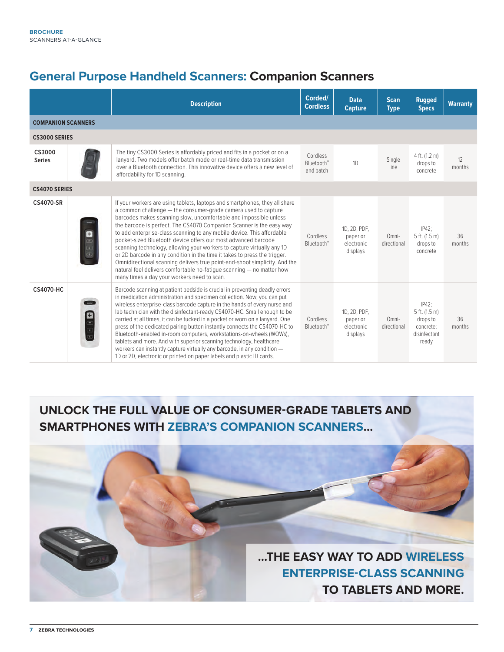### **General Purpose Handheld Scanners: Companion Scanners**

|                           |                                                    | <b>Description</b>                                                                                                                                                                                                                                                                                                                                                                                                                                                                                                                                                                                                                                                                                                                                                                                 | Corded/<br><b>Cordless</b>                      | <b>Data</b><br><b>Capture</b>                      | <b>Scan</b><br><b>Type</b> | <b>Rugged</b><br><b>Specs</b>                                               | <b>Warranty</b> |
|---------------------------|----------------------------------------------------|----------------------------------------------------------------------------------------------------------------------------------------------------------------------------------------------------------------------------------------------------------------------------------------------------------------------------------------------------------------------------------------------------------------------------------------------------------------------------------------------------------------------------------------------------------------------------------------------------------------------------------------------------------------------------------------------------------------------------------------------------------------------------------------------------|-------------------------------------------------|----------------------------------------------------|----------------------------|-----------------------------------------------------------------------------|-----------------|
| <b>COMPANION SCANNERS</b> |                                                    |                                                                                                                                                                                                                                                                                                                                                                                                                                                                                                                                                                                                                                                                                                                                                                                                    |                                                 |                                                    |                            |                                                                             |                 |
| <b>CS3000 SERIES</b>      |                                                    |                                                                                                                                                                                                                                                                                                                                                                                                                                                                                                                                                                                                                                                                                                                                                                                                    |                                                 |                                                    |                            |                                                                             |                 |
| CS3000<br><b>Series</b>   |                                                    | The tiny CS3000 Series is affordably priced and fits in a pocket or on a<br>lanyard. Two models offer batch mode or real-time data transmission<br>over a Bluetooth connection. This innovative device offers a new level of<br>affordability for 1D scanning.                                                                                                                                                                                                                                                                                                                                                                                                                                                                                                                                     | Cordless<br>Bluetooth <sup>®</sup><br>and batch | 1D                                                 | Single<br>line             | 4 ft. (1.2 m)<br>drops to<br>concrete                                       | 12<br>months    |
| <b>CS4070 SERIES</b>      |                                                    |                                                                                                                                                                                                                                                                                                                                                                                                                                                                                                                                                                                                                                                                                                                                                                                                    |                                                 |                                                    |                            |                                                                             |                 |
| <b>CS4070-SR</b>          | o<br>$\begin{array}{c} 0 & 0 \\ 0 & 0 \end{array}$ | If your workers are using tablets, laptops and smartphones, they all share<br>a common challenge - the consumer-grade camera used to capture<br>barcodes makes scanning slow, uncomfortable and impossible unless<br>the barcode is perfect. The CS4070 Companion Scanner is the easy way<br>to add enterprise-class scanning to any mobile device. This affordable<br>pocket-sized Bluetooth device offers our most advanced barcode<br>scanning technology, allowing your workers to capture virtually any 1D<br>or 2D barcode in any condition in the time it takes to press the trigger.<br>Omnidirectional scanning delivers true point-and-shoot simplicity. And the<br>natural feel delivers comfortable no-fatique scanning - no matter how<br>many times a day your workers need to scan. | Cordless<br><b>Bluetooth®</b>                   | 1D, 2D, PDF,<br>paper or<br>electronic<br>displays | Omni-<br>directional       | IP42:<br>5 ft. (1.5 m)<br>drops to<br>concrete                              | 36<br>months    |
| <b>CS4070-HC</b>          | $\overline{\phantom{a}}$<br>80 B B                 | Barcode scanning at patient bedside is crucial in preventing deadly errors<br>in medication administration and specimen collection. Now, you can put<br>wireless enterprise-class barcode capture in the hands of every nurse and<br>lab technician with the disinfectant-ready CS4070-HC. Small enough to be<br>carried at all times, it can be tucked in a pocket or worn on a lanyard. One<br>press of the dedicated pairing button instantly connects the CS4070-HC to<br>Bluetooth-enabled in-room computers, workstations-on-wheels (WOWs),<br>tablets and more. And with superior scanning technology, healthcare<br>workers can instantly capture virtually any barcode, in any condition -<br>1D or 2D, electronic or printed on paper labels and plastic ID cards.                       | Cordless<br><b>Bluetooth®</b>                   | 1D, 2D, PDF,<br>paper or<br>electronic<br>displays | Omni-<br>directional       | $IP42$ ;<br>5 ft. (1.5 m)<br>drops to<br>concrete:<br>disinfectant<br>ready | 36<br>months    |

### **UNLOCK THE FULL VALUE OF CONSUMER-GRADE TABLETS AND SMARTPHONES WITH ZEBRA'S COMPANION SCANNERS…**

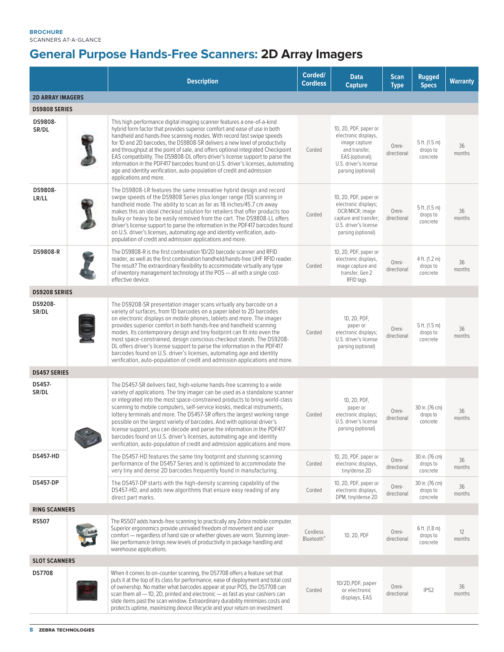**BROCHURE** SCANNERS AT-A-GLANCE

### **General Purpose Hands-Free Scanners: 2D Array Imagers**

|                         | <b>Description</b>                                                                                                                                                                                                                                                                                                                                                                                                                                                                                                                                                                                                                                                                                          | Corded/<br><b>Cordless</b>         | <b>Data</b><br><b>Capture</b>                                                                                                                     | <b>Scan</b><br><b>Type</b> | <b>Rugged</b><br><b>Specs</b>           | <b>Warranty</b> |
|-------------------------|-------------------------------------------------------------------------------------------------------------------------------------------------------------------------------------------------------------------------------------------------------------------------------------------------------------------------------------------------------------------------------------------------------------------------------------------------------------------------------------------------------------------------------------------------------------------------------------------------------------------------------------------------------------------------------------------------------------|------------------------------------|---------------------------------------------------------------------------------------------------------------------------------------------------|----------------------------|-----------------------------------------|-----------------|
| <b>2D ARRAY IMAGERS</b> |                                                                                                                                                                                                                                                                                                                                                                                                                                                                                                                                                                                                                                                                                                             |                                    |                                                                                                                                                   |                            |                                         |                 |
| <b>DS9808 SERIES</b>    |                                                                                                                                                                                                                                                                                                                                                                                                                                                                                                                                                                                                                                                                                                             |                                    |                                                                                                                                                   |                            |                                         |                 |
| DS9808-<br>SR/DL        | This high performance digital imaging scanner features a one-of-a-kind<br>hybrid form factor that provides superior comfort and ease of use in both<br>handheld and hands-free scanning modes. With record fast swipe speeds<br>for 1D and 2D barcodes, the DS9808-SR delivers a new level of productivity<br>and throughput at the point of sale, and offers optional integrated Checkpoint<br>EAS compatibility. The DS9808-DL offers driver's license support to parse the<br>information in the PDF417 barcodes found on U.S. driver's licenses, automating<br>age and identity verification, auto-population of credit and admission<br>applications and more.                                         | Corded                             | 1D, 2D, PDF, paper or<br>electronic displays,<br>image capture<br>and transfer,<br>EAS (optional);<br>U.S. driver's license<br>parsing (optional) | Omni-<br>directional       | 5 ft. (1.5 m)<br>drops to<br>concrete   | 36<br>months    |
| DS9808-<br>LR/LL        | The DS9808-LR features the same innovative hybrid design and record<br>swipe speeds of the DS9808 Series plus longer range (1D) scanning in<br>handheld mode. The ability to scan as far as 18 inches/45.7 cm away<br>makes this an ideal checkout solution for retailers that offer products too<br>bulky or heavy to be easily removed from the cart. The DS9808-LL offers<br>driver's license support to parse the information in the PDF417 barcodes found<br>on U.S. driver's licenses, automating age and identity verification, auto-<br>population of credit and admission applications and more.                                                                                                   | Corded                             | 1D, 2D, PDF, paper or<br>electronic displays;<br>OCR/MICR; image<br>capture and transfer;<br>U.S. driver's license<br>parsing (optional)          | Omni-<br>directional       | 5 ft. (1.5 m)<br>drops to<br>concrete   | 36<br>months    |
| <b>DS9808-R</b>         | The DS9808-R is the first combination 1D/2D barcode scanner and RFID<br>reader, as well as the first combination handheld/hands-free UHF RFID reader.<br>The result? The extraordinary flexibility to accommodate virtually any type<br>of inventory management technology at the POS - all with a single cost-<br>effective device.                                                                                                                                                                                                                                                                                                                                                                        | Corded                             | 1D, 2D, PDF, paper or<br>electronic displays,<br>image capture and<br>transfer, Gen 2<br>RFID tags                                                | Omni-<br>directional       | 4 ft. (1.2 m)<br>drops to<br>concrete   | 36<br>months    |
| <b>DS9208 SERIES</b>    |                                                                                                                                                                                                                                                                                                                                                                                                                                                                                                                                                                                                                                                                                                             |                                    |                                                                                                                                                   |                            |                                         |                 |
| DS9208-<br>SR/DL        | The DS9208-SR presentation imager scans virtually any barcode on a<br>variety of surfaces, from 1D barcodes on a paper label to 2D barcodes<br>on electronic displays on mobile phones, tablets and more. The imager<br>provides superior comfort in both hands-free and handheld scanning<br>modes. Its contemporary design and tiny footprint can fit into even the<br>most space-constrained, design conscious checkout stands. The DS9208-<br>DL offers driver's license support to parse the information in the PDF417<br>barcodes found on U.S. driver's licenses, automating age and identity<br>verification, auto-population of credit and admission applications and more.                        | Corded                             | 1D, 2D, PDF,<br>paper or<br>electronic displays;<br>U.S. driver's license<br>parsing (optional)                                                   | Omni-<br>directional       | $5$ ft. (1.5 m)<br>drops to<br>concrete | 36<br>months    |
| <b>DS457 SERIES</b>     |                                                                                                                                                                                                                                                                                                                                                                                                                                                                                                                                                                                                                                                                                                             |                                    |                                                                                                                                                   |                            |                                         |                 |
| DS457-<br>SR/DL         | The DS457-SR delivers fast, high-volume hands-free scanning to a wide<br>variety of applications. The tiny imager can be used as a standalone scanner<br>or integrated into the most space-constrained products to bring world-class<br>scanning to mobile computers, self-service kiosks, medical instruments,<br>lottery terminals and more. The DS457-SR offers the largest working range<br>possible on the largest variety of barcodes. And with optional driver's<br>license support, you can decode and parse the information in the PDF417<br>barcodes found on U.S. driver's licenses, automating age and identity<br>verification, auto-population of credit and admission applications and more. | Corded                             | 1D, 2D, PDF,<br>paper or<br>electronic displays;<br>U.S. driver's license<br>parsing (optional)                                                   | Omni-<br>directional       | 30 in. (76 cm)<br>drops to<br>concrete  | 36<br>months    |
| <b>DS457-HD</b>         | The DS457-HD features the same tiny footprint and stunning scanning<br>performance of the DS457 Series and is optimized to accommodate the<br>very tiny and dense 2D barcodes frequently found in manufacturing.                                                                                                                                                                                                                                                                                                                                                                                                                                                                                            | Corded                             | 1D, 2D, PDF, paper or<br>electronic displays,<br>tiny/dense 2D                                                                                    | Omni-<br>directional       | 30 in. (76 cm)<br>drops to<br>concrete  | 36<br>months    |
| <b>DS457-DP</b>         | The DS457-DP starts with the high-density scanning capability of the<br>DS457-HD, and adds new algorithms that ensure easy reading of any<br>direct part marks.                                                                                                                                                                                                                                                                                                                                                                                                                                                                                                                                             | Corded                             | 1D, 2D, PDF, paper or<br>electronic displays,<br>DPM, tiny/dense 2D                                                                               | Omni-<br>directional       | 30 in. (76 cm)<br>drops to<br>concrete  | 36<br>months    |
| <b>RING SCANNERS</b>    |                                                                                                                                                                                                                                                                                                                                                                                                                                                                                                                                                                                                                                                                                                             |                                    |                                                                                                                                                   |                            |                                         |                 |
| <b>RS507</b>            | The RS507 adds hands-free scanning to practically any Zebra mobile computer.<br>Superior ergonomics provide unrivaled freedom of movement and user<br>comfort — regardless of hand size or whether gloves are worn. Stunning laser-<br>like performance brings new levels of productivity in package handling and<br>warehouse applications.                                                                                                                                                                                                                                                                                                                                                                | Cordless<br>Bluetooth <sup>®</sup> | 1D, 2D, PDF                                                                                                                                       | Omni-<br>directional       | 6 ft. (1.8 m)<br>drops to<br>concrete   | 12<br>months    |
| <b>SLOT SCANNERS</b>    |                                                                                                                                                                                                                                                                                                                                                                                                                                                                                                                                                                                                                                                                                                             |                                    |                                                                                                                                                   |                            |                                         |                 |
| DS7708                  | When it comes to on-counter scanning, the DS7708 offers a feature set that<br>puts it at the top of its class for performance, ease of deployment and total cost<br>of ownership. No matter what barcodes appear at your POS, the DS7708 can<br>scan them all - 1D, 2D, printed and electronic - as fast as your cashiers can<br>slide items past the scan window. Extraordinary durability minimizes costs and<br>protects uptime, maximizing device lifecycle and your return on investment.                                                                                                                                                                                                              | Corded                             | 1D/2D, PDF, paper<br>or electronic<br>displays, EAS                                                                                               | Omni-<br>directional       | <b>IP52</b>                             | 36<br>months    |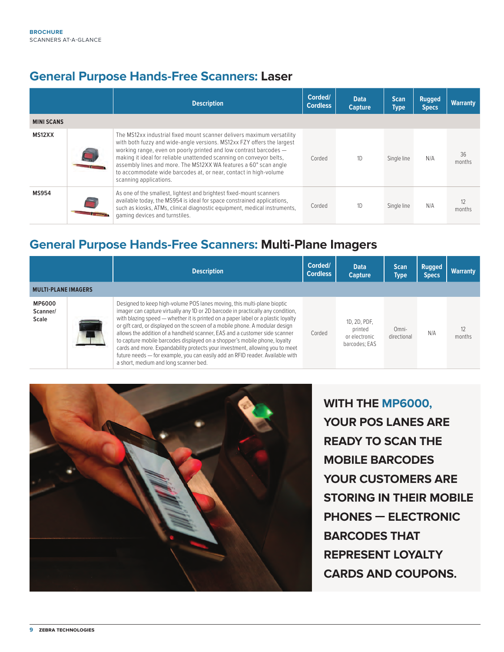#### **General Purpose Hands-Free Scanners: Laser**

|                   | <b>Description</b>                                                                                                                                                                                                                                                                                                                                                                                                                                             | Corded/<br><b>Cordless</b> | <b>Data</b><br><b>Capture</b> | <b>Scan</b><br><b>Type</b> | <b>Rugged</b><br><b>Specs</b> | <b>Warranty</b> |
|-------------------|----------------------------------------------------------------------------------------------------------------------------------------------------------------------------------------------------------------------------------------------------------------------------------------------------------------------------------------------------------------------------------------------------------------------------------------------------------------|----------------------------|-------------------------------|----------------------------|-------------------------------|-----------------|
| <b>MINI SCANS</b> |                                                                                                                                                                                                                                                                                                                                                                                                                                                                |                            |                               |                            |                               |                 |
| MS12XX            | The MS12xx industrial fixed mount scanner delivers maximum versatility<br>with both fuzzy and wide-angle versions. MS12xx FZY offers the largest<br>working range, even on poorly printed and low contrast barcodes -<br>making it ideal for reliable unattended scanning on conveyor belts,<br>assembly lines and more. The MS12XX WA features a 60° scan angle<br>to accommodate wide barcodes at, or near, contact in high-volume<br>scanning applications. | Corded                     | 1 <sub>D</sub>                | Single line                | N/A                           | 36<br>months    |
| <b>MS954</b>      | As one of the smallest, lightest and brightest fixed-mount scanners<br>available today, the MS954 is ideal for space constrained applications,<br>such as kiosks, ATMs, clinical diagnostic equipment, medical instruments,<br>gaming devices and turnstiles.                                                                                                                                                                                                  | Corded                     | 1 <sub>D</sub>                | Single line                | N/A                           | 12<br>months    |

#### **General Purpose Hands-Free Scanners: Multi-Plane Imagers**

|                                    | <b>Description</b>                                                                                                                                                                                                                                                                                                                                                                                                                                                                                                                                                                                                                                                                                  | Corded/<br><b>Cordless</b> | <b>Data</b><br><b>Capture</b>                             | <b>Scan</b><br>Type  | <b>Rugged</b><br><b>Specs</b> | <b>Warranty</b> |
|------------------------------------|-----------------------------------------------------------------------------------------------------------------------------------------------------------------------------------------------------------------------------------------------------------------------------------------------------------------------------------------------------------------------------------------------------------------------------------------------------------------------------------------------------------------------------------------------------------------------------------------------------------------------------------------------------------------------------------------------------|----------------------------|-----------------------------------------------------------|----------------------|-------------------------------|-----------------|
| <b>MULTI-PLANE IMAGERS</b>         |                                                                                                                                                                                                                                                                                                                                                                                                                                                                                                                                                                                                                                                                                                     |                            |                                                           |                      |                               |                 |
| <b>MP6000</b><br>Scanner/<br>Scale | Designed to keep high-volume POS lanes moving, this multi-plane bioptic<br>imager can capture virtually any 1D or 2D barcode in practically any condition,<br>with blazing speed — whether it is printed on a paper label or a plastic loyalty<br>or gift card, or displayed on the screen of a mobile phone. A modular design<br>allows the addition of a handheld scanner, EAS and a customer side scanner<br>to capture mobile barcodes displayed on a shopper's mobile phone, loyalty<br>cards and more. Expandability protects your investment, allowing you to meet<br>future needs - for example, you can easily add an RFID reader. Available with<br>a short, medium and long scanner bed. | Corded                     | 1D, 2D, PDF,<br>printed<br>or electronic<br>barcodes: EAS | Omni-<br>directional | N/A                           | 12<br>months    |



**WITH THE MP6000, YOUR POS LANES ARE READY TO SCAN THE MOBILE BARCODES YOUR CUSTOMERS ARE STORING IN THEIR MOBILE PHONES — ELECTRONIC BARCODES THAT REPRESENT LOYALTY CARDS AND COUPONS.**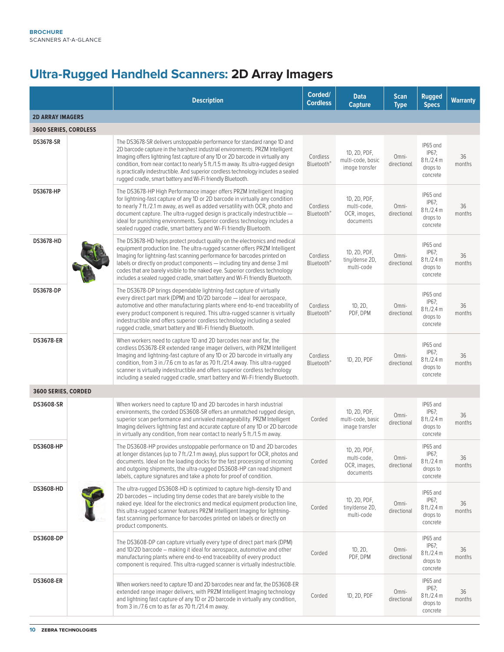### **Ultra-Rugged Handheld Scanners: 2D Array Imagers**

|                         | <b>Description</b>                                                                                                                                                                                                                                                                                                                                                                                                                                                                | Corded/<br><b>Cordless</b>         | <b>Data</b><br><b>Capture</b>                            | <b>Scan</b><br><b>Type</b> | <b>Rugged</b><br><b>Specs</b>                               | <b>Warranty</b> |
|-------------------------|-----------------------------------------------------------------------------------------------------------------------------------------------------------------------------------------------------------------------------------------------------------------------------------------------------------------------------------------------------------------------------------------------------------------------------------------------------------------------------------|------------------------------------|----------------------------------------------------------|----------------------------|-------------------------------------------------------------|-----------------|
| <b>2D ARRAY IMAGERS</b> |                                                                                                                                                                                                                                                                                                                                                                                                                                                                                   |                                    |                                                          |                            |                                                             |                 |
| 3600 SERIES, CORDLESS   |                                                                                                                                                                                                                                                                                                                                                                                                                                                                                   |                                    |                                                          |                            |                                                             |                 |
| <b>DS3678-SR</b>        | The DS3678-SR delivers unstoppable performance for standard range 1D and<br>2D barcode capture in the harshest industrial environments. PRZM Intelligent<br>Imaging offers lightning fast capture of any 1D or 2D barcode in virtually any<br>condition, from near contact to nearly 5 ft./1.5 m away. Its ultra-rugged design<br>is practically indestructible. And superior cordless technology includes a sealed<br>rugged cradle, smart battery and Wi-Fi friendly Bluetooth. | Cordless<br>Bluetooth <sup>®</sup> | 1D, 2D, PDF,<br>multi-code, basic<br>image transfer      | Omni-<br>directional       | IP65 and<br>IP67;<br>8 ft./2.4 m<br>drops to<br>concrete    | 36<br>months    |
| DS3678-HP               | The DS3678-HP High Performance imager offers PRZM Intelligent Imaging<br>for lightning-fast capture of any 1D or 2D barcode in virtually any condition<br>to nearly 7 ft./2.1 m away, as well as added versatility with OCR, photo and<br>document capture. The ultra-rugged design is practically indestructible -<br>ideal for punishing environments. Superior cordless technology includes a<br>sealed rugged cradle, smart battery and Wi-Fi friendly Bluetooth.             | Cordless<br><b>Bluetooth®</b>      | 1D, 2D, PDF,<br>multi-code,<br>OCR, images,<br>documents | Omni-<br>directional       | IP65 and<br>IP67;<br>8 ft./2.4 m<br>drops to<br>concrete    | 36<br>months    |
| <b>DS3678-HD</b>        | The DS3678-HD helps protect product quality on the electronics and medical<br>equipment production line. The ultra-rugged scanner offers PRZM Intelligent<br>Imaging for lightning-fast scanning performance for barcodes printed on<br>labels or directly on product components - including tiny and dense 3 mil<br>codes that are barely visible to the naked eye. Superior cordless technology<br>includes a sealed rugged cradle, smart battery and Wi-Fi friendly Bluetooth. | Cordless<br>Bluetooth <sup>®</sup> | 1D, 2D, PDF,<br>tiny/dense 2D,<br>multi-code             | Omni-<br>directional       | IP65 and<br>IP67;<br>8 ft./2.4 m<br>drops to<br>concrete    | 36<br>months    |
| <b>DS3678-DP</b>        | The DS3678-DP brings dependable lightning-fast capture of virtually<br>every direct part mark (DPM) and 1D/2D barcode - ideal for aerospace,<br>automotive and other manufacturing plants where end-to-end traceability of<br>every product component is required. This ultra-rugged scanner is virtually<br>indestructible and offers superior cordless technology including a sealed<br>rugged cradle, smart battery and Wi-Fi friendly Bluetooth.                              | Cordless<br><b>Bluetooth®</b>      | 1D, 2D,<br>PDF, DPM                                      | Omni-<br>directional       | IP65 and<br>IP67;<br>8 ft./2.4 m<br>drops to<br>concrete    | 36<br>months    |
| <b>DS3678-ER</b>        | When workers need to capture 1D and 2D barcodes near and far, the<br>cordless DS3678-ER extended range imager delivers, with PRZM Intelligent<br>Imaging and lightning-fast capture of any 1D or 2D barcode in virtually any<br>condition, from 3 in./7.6 cm to as far as 70 ft./21.4 away. This ultra-rugged<br>scanner is virtually indestructible and offers superior cordless technology<br>including a sealed rugged cradle, smart battery and Wi-Fi friendly Bluetooth.     | Cordless<br>Bluetooth <sup>®</sup> | 1D, 2D, PDF                                              | Omni-<br>directional       | IP65 and<br>IP67;<br>8 ft./2.4 m<br>drops to<br>concrete    | 36<br>months    |
| 3600 SERIES, CORDED     |                                                                                                                                                                                                                                                                                                                                                                                                                                                                                   |                                    |                                                          |                            |                                                             |                 |
| <b>DS3608-SR</b>        | When workers need to capture 1D and 2D barcodes in harsh industrial<br>environments, the corded DS3608-SR offers an unmatched rugged design,<br>superior scan performance and unrivaled manageability. PRZM Intelligent<br>Imaging delivers lightning fast and accurate capture of any 1D or 2D barcode<br>in virtually any condition, from near contact to nearly 5 ft./1.5 m away.                                                                                              | Corded                             | 1D, 2D, PDF,<br>multi-code, basic<br>image transfer      | Omni-<br>directional       | IP65 and<br>IP67;<br>8 ft./2.4 m<br>drops to<br>concrete    | 36<br>months    |
| <b>DS3608-HP</b>        | The DS3608-HP provides unstoppable performance on 1D and 2D barcodes<br>at longer distances (up to 7 ft./2.1 m away), plus support for OCR, photos and<br>documents. Ideal on the loading docks for the fast processing of incoming<br>and outgoing shipments, the ultra-rugged DS3608-HP can read shipment<br>labels, capture signatures and take a photo for proof of condition.                                                                                                | Corded                             | 1D, 2D, PDF,<br>multi-code,<br>OCR, images,<br>documents | Omni-<br>directional       | IP65 and<br>$IPb$ /;<br>8 ft./2.4 m<br>drops to<br>concrete | 36<br>months    |
| <b>DS3608-HD</b>        | The ultra-rugged DS3608-HD is optimized to capture high-density 1D and<br>2D barcodes – including tiny dense codes that are barely visible to the<br>naked eye. Ideal for the electronics and medical equipment production line,<br>this ultra-rugged scanner features PRZM Intelligent Imaging for lightning-<br>fast scanning performance for barcodes printed on labels or directly on<br>product components.                                                                  | Corded                             | 1D, 2D, PDF,<br>tiny/dense 2D,<br>multi-code             | Omni-<br>directional       | IP65 and<br>IP67;<br>8 ft./2.4 m<br>drops to<br>concrete    | 36<br>months    |
| <b>DS3608-DP</b>        | The DS3608-DP can capture virtually every type of direct part mark (DPM)<br>and 1D/2D barcode - making it ideal for aerospace, automotive and other<br>manufacturing plants where end-to-end traceability of every product<br>component is required. This ultra-rugged scanner is virtually indestructible.                                                                                                                                                                       | Corded                             | 1D, 2D,<br>PDF, DPM                                      | Omni-<br>directional       | IP65 and<br>IP67;<br>8 ft./2.4 m<br>drops to<br>concrete    | 36<br>months    |
| <b>DS3608-ER</b>        | When workers need to capture 1D and 2D barcodes near and far, the DS3608-ER<br>extended range imager delivers, with PRZM Intelligent Imaging technology<br>and lightning fast capture of any 1D or 2D barcode in virtually any condition,<br>from 3 in./7.6 cm to as far as 70 ft./21.4 m away.                                                                                                                                                                                   | Corded                             | 1D, 2D, PDF                                              | Omni-<br>directional       | IP65 and<br>IP67;<br>8 ft./2.4 m<br>drops to<br>concrete    | 36<br>months    |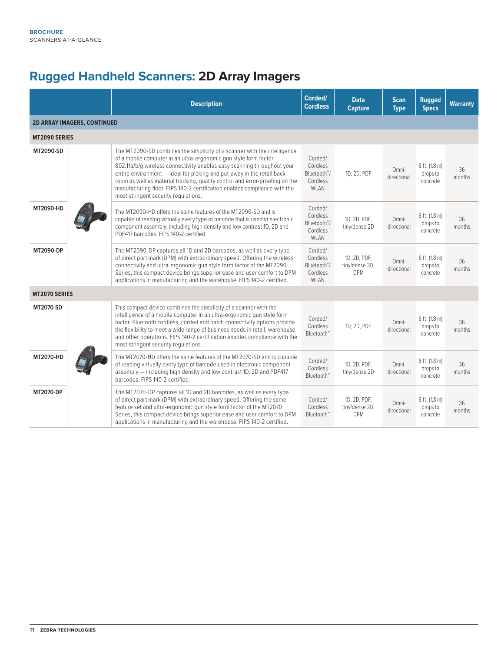### **Rugged Handheld Scanners: 2D Array Imagers**

|                                    | <b>Description</b>                                                                                                                                                                                                                                                                                                                                                                                                                                                                                      | Corded/<br><b>Cordless</b>                                          | <b>Data</b><br><b>Capture</b>                | <b>Scan</b><br><b>Type</b> | <b>Rugged</b><br><b>Specs</b>                     | <b>Warranty</b> |
|------------------------------------|---------------------------------------------------------------------------------------------------------------------------------------------------------------------------------------------------------------------------------------------------------------------------------------------------------------------------------------------------------------------------------------------------------------------------------------------------------------------------------------------------------|---------------------------------------------------------------------|----------------------------------------------|----------------------------|---------------------------------------------------|-----------------|
| <b>2D ARRAY IMAGERS, CONTINUED</b> |                                                                                                                                                                                                                                                                                                                                                                                                                                                                                                         |                                                                     |                                              |                            |                                                   |                 |
| MT2090 SERIES                      |                                                                                                                                                                                                                                                                                                                                                                                                                                                                                                         |                                                                     |                                              |                            |                                                   |                 |
| MT2090-SD                          | The MT2090-SD combines the simplicity of a scanner with the intelligence<br>of a mobile computer in an ultra-ergonomic qun style form factor.<br>802.11a/b/g wireless connectivity enables easy scanning throughout your<br>entire environment - ideal for picking and put-away in the retail back<br>room as well as material tracking, quality control and error-proofing on the<br>manufacturing floor. FIPS 140-2 certification enables compliance with the<br>most stringent security regulations. | Corded/<br>Cordless<br>Bluetooth <sup>®</sup> /<br>Cordless<br>WLAN | 1D, 2D, PDF                                  | Omni-<br>directional       | 6 ft. (1.8 m)<br>drops to<br>concrete             | 36<br>months    |
| MT2090-HD                          | The MT2090-HD offers the same features of the MT2090-SD and is<br>capable of reading virtually every type of barcode that is used in electronic<br>component assembly, including high density and low contrast 1D, 2D and<br>PDF417 barcodes. FIPS 140-2 certified.                                                                                                                                                                                                                                     | Corded/<br>Cordless<br>Bluetooth <sup>®</sup> /<br>Cordless<br>WLAN | 1D, 2D, PDF,<br>tiny/dense 2D                | Omni-<br>directional       | 6 ft. (1.8 m)<br>drops to<br>concrete             | 36<br>months    |
| MT2090-DP                          | The MT2090-DP captures all 1D and 2D barcodes, as well as every type<br>of direct part mark (DPM) with extraordinary speed. Offering the wireless<br>connectivity and ultra-ergonomic qun style form factor of the MT2090<br>Series, this compact device brings superior ease and user comfort to DPM<br>applications in manufacturing and the warehouse. FIPS 140-2 certified.                                                                                                                         | Corded/<br>Cordless<br>Bluetooth <sup>®</sup> /<br>Cordless<br>WLAN | 1D, 2D, PDF,<br>tiny/dense 2D,<br><b>DPM</b> | Omni-<br>directional       | $6$ ft. $(1.8 \text{ m})$<br>drops to<br>concrete | 36<br>months    |
| <b>MT2070 SERIES</b>               |                                                                                                                                                                                                                                                                                                                                                                                                                                                                                                         |                                                                     |                                              |                            |                                                   |                 |
| MT2070-SD                          | This compact device combines the simplicity of a scanner with the<br>intelligence of a mobile computer in an ultra-ergonomic gun style form<br>factor. Bluetooth cordless, corded and batch connectivity options provide<br>the flexibility to meet a wide range of business needs in retail, warehouse<br>and other operations. FIPS 140-2 certification enables compliance with the<br>most stringent security regulations.                                                                           | Corded/<br>Cordless<br>Bluetooth <sup>®</sup>                       | 1D, 2D, PDF                                  | Omni-<br>directional       | 6 ft. (1.8 m)<br>drops to<br>concrete             | 36<br>months    |
| MT2070-HD                          | The MT2070-HD offers the same features of the MT2070-SD and is capable<br>of reading virtually every type of barcode used in electronic component<br>assembly - including high density and low contrast 1D, 2D and PDF417<br>barcodes. FIPS 140-2 certified.                                                                                                                                                                                                                                            | Corded/<br>Cordless<br>Bluetooth <sup>®</sup>                       | 1D, 2D, PDF,<br>tiny/dense 2D                | Omni-<br>directional       | 6 ft. (1.8 m)<br>drops to<br>concrete             | 36<br>months    |
| MT2070-DP                          | The MT2070-DP captures all 1D and 2D barcodes, as well as every type<br>of direct part mark (DPM) with extraordinary speed. Offering the same<br>feature set and ultra-ergonomic gun style form factor of the MT2070<br>Series, this compact device brings superior ease and user comfort to DPM<br>applications in manufacturing and the warehouse. FIPS 140-2 certified.                                                                                                                              | Corded/<br>Cordless<br>Bluetooth <sup>®</sup>                       | 1D, 2D, PDF,<br>tiny/dense 2D,<br><b>DPM</b> | Omni-<br>directional       | 6 ft. (1.8 m)<br>drops to<br>concrete             | 36<br>months    |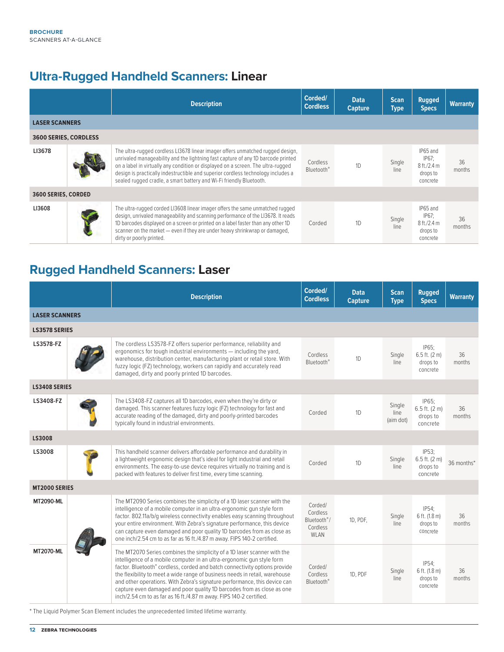### **Ultra-Rugged Handheld Scanners: Linear**

|                              | <b>Description</b>                                                                                                                                                                                                                                                                                                                                                                                                | Corded/<br><b>Cordless</b>                | <b>Data</b><br><b>Capture</b> | <b>Scan</b><br>Type | <b>Rugged</b><br><b>Specs</b>                             | <b>Warranty</b> |
|------------------------------|-------------------------------------------------------------------------------------------------------------------------------------------------------------------------------------------------------------------------------------------------------------------------------------------------------------------------------------------------------------------------------------------------------------------|-------------------------------------------|-------------------------------|---------------------|-----------------------------------------------------------|-----------------|
| <b>LASER SCANNERS</b>        |                                                                                                                                                                                                                                                                                                                                                                                                                   |                                           |                               |                     |                                                           |                 |
| <b>3600 SERIES, CORDLESS</b> |                                                                                                                                                                                                                                                                                                                                                                                                                   |                                           |                               |                     |                                                           |                 |
| LI3678                       | The ultra-rugged cordless LI3678 linear imager offers unmatched rugged design,<br>unrivaled manageability and the lightning fast capture of any 1D barcode printed<br>on a label in virtually any condition or displayed on a screen. The ultra-rugged<br>design is practically indestructible and superior cordless technology includes a<br>sealed rugged cradle, a smart battery and Wi-Fi friendly Bluetooth. | Cordless<br><b>Bluetooth</b> <sup>®</sup> | 1D                            | Single<br>line      | IP65 and<br>IP67:<br>8 ft./2.4 m<br>drops to<br>concrete  | 36<br>months    |
| <b>3600 SERIES, CORDED</b>   |                                                                                                                                                                                                                                                                                                                                                                                                                   |                                           |                               |                     |                                                           |                 |
| LI3608                       | The ultra-rugged corded LI3608 linear imager offers the same unmatched rugged<br>design, unrivaled manageability and scanning performance of the LI3678. It reads<br>1D barcodes displayed on a screen or printed on a label faster than any other 1D<br>scanner on the market - even if they are under heavy shrinkwrap or damaged,<br>dirty or poorly printed.                                                  | Corded                                    | 1 <sub>D</sub>                | Single<br>line      | IP65 and<br>IP67:<br>8 ft / 2.4 m<br>drops to<br>concrete | 36<br>months    |

### **Rugged Handheld Scanners: Laser**

|                       | <b>Description</b>                                                                                                                                                                                                                                                                                                                                                                                                                                                                                                                            | Corded/<br><b>Cordless</b>                                          | <b>Data</b><br><b>Capture</b> | <b>Scan</b><br><b>Type</b>  | <b>Rugged</b><br><b>Specs</b>                              | <b>Warranty</b> |
|-----------------------|-----------------------------------------------------------------------------------------------------------------------------------------------------------------------------------------------------------------------------------------------------------------------------------------------------------------------------------------------------------------------------------------------------------------------------------------------------------------------------------------------------------------------------------------------|---------------------------------------------------------------------|-------------------------------|-----------------------------|------------------------------------------------------------|-----------------|
| <b>LASER SCANNERS</b> |                                                                                                                                                                                                                                                                                                                                                                                                                                                                                                                                               |                                                                     |                               |                             |                                                            |                 |
| <b>LS3578 SERIES</b>  |                                                                                                                                                                                                                                                                                                                                                                                                                                                                                                                                               |                                                                     |                               |                             |                                                            |                 |
| LS3578-FZ             | The cordless LS3578-FZ offers superior performance, reliability and<br>ergonomics for tough industrial environments - including the yard,<br>warehouse, distribution center, manufacturing plant or retail store. With<br>fuzzy logic (FZ) technology, workers can rapidly and accurately read<br>damaged, dirty and poorly printed 1D barcodes.                                                                                                                                                                                              | Cordless<br>Bluetooth <sup>®</sup>                                  | 1D                            | Single<br>line              | IP65:<br>$6.5$ ft. (2 m)<br>drops to<br>concrete           | 36<br>months    |
| <b>LS3408 SERIES</b>  |                                                                                                                                                                                                                                                                                                                                                                                                                                                                                                                                               |                                                                     |                               |                             |                                                            |                 |
| LS3408-FZ             | The LS3408-FZ captures all 1D barcodes, even when they're dirty or<br>damaged. This scanner features fuzzy logic (FZ) technology for fast and<br>accurate reading of the damaged, dirty and poorly-printed barcodes<br>typically found in industrial environments.                                                                                                                                                                                                                                                                            | Corded                                                              | 1D                            | Single<br>line<br>(aim dot) | IP65;<br>$6.5$ ft. $(2 \text{ m})$<br>drops to<br>concrete | 36<br>months    |
| <b>LS3008</b>         |                                                                                                                                                                                                                                                                                                                                                                                                                                                                                                                                               |                                                                     |                               |                             |                                                            |                 |
| LS3008                | This handheld scanner delivers affordable performance and durability in<br>a lightweight ergonomic design that's ideal for light industrial and retail<br>environments. The easy-to-use device requires virtually no training and is<br>packed with features to deliver first time, every time scanning.                                                                                                                                                                                                                                      | Corded                                                              | 1D                            | Single<br>line              | IP53;<br>6.5 ft. (2 m)<br>drops to<br>concrete             | 36 months*      |
| <b>MT2000 SERIES</b>  |                                                                                                                                                                                                                                                                                                                                                                                                                                                                                                                                               |                                                                     |                               |                             |                                                            |                 |
| <b>MT2090-ML</b>      | The MT2090 Series combines the simplicity of a 1D laser scanner with the<br>intelligence of a mobile computer in an ultra-ergonomic gun style form<br>factor. 802.11a/b/q wireless connectivity enables easy scanning throughout<br>your entire environment. With Zebra's signature performance, this device<br>can capture even damaged and poor quality 1D barcodes from as close as<br>one inch/2.54 cm to as far as 16 ft./4.87 m away. FIPS 140-2 certified.                                                                             | Corded/<br>Cordless<br>Bluetooth <sup>®</sup> /<br>Cordless<br>WLAN | 1D, PDF,                      | Single<br>line              | IP54:<br>6 ft. (1.8 m)<br>drops to<br>concrete             | 36<br>months    |
| <b>MT2070-ML</b>      | The MT2070 Series combines the simplicity of a 1D laser scanner with the<br>intelligence of a mobile computer in an ultra-ergonomic qun style form<br>factor. Bluetooth® cordless, corded and batch connectivity options provide<br>the flexibility to meet a wide range of business needs in retail, warehouse<br>and other operations. With Zebra's signature performance, this device can<br>capture even damaged and poor quality 1D barcodes from as close as one<br>inch/2.54 cm to as far as 16 ft./4.87 m away. FIPS 140-2 certified. | Corded/<br>Cordless<br>Bluetooth <sup>®</sup>                       | 1D, PDF                       | Single<br>line              | IP54:<br>6 ft. (1.8 m)<br>drops to<br>concrete             | 36<br>months    |

\* The Liquid Polymer Scan Element includes the unprecedented limited lifetime warranty.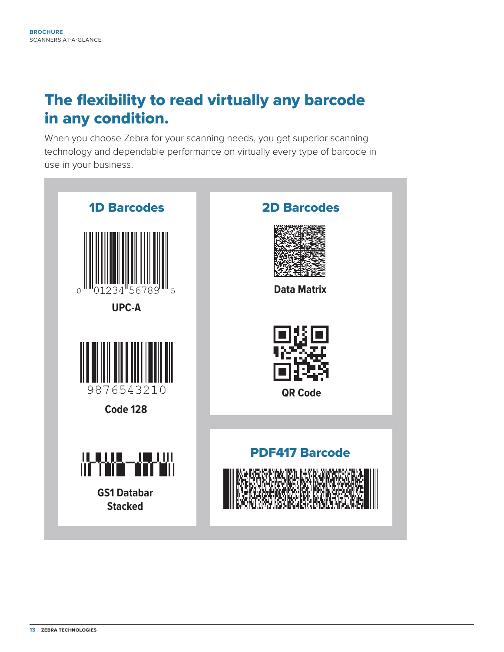## The flexibility to read virtually any barcode in any condition.

When you choose Zebra for your scanning needs, you get superior scanning technology and dependable performance on virtually every type of barcode in use in your business.

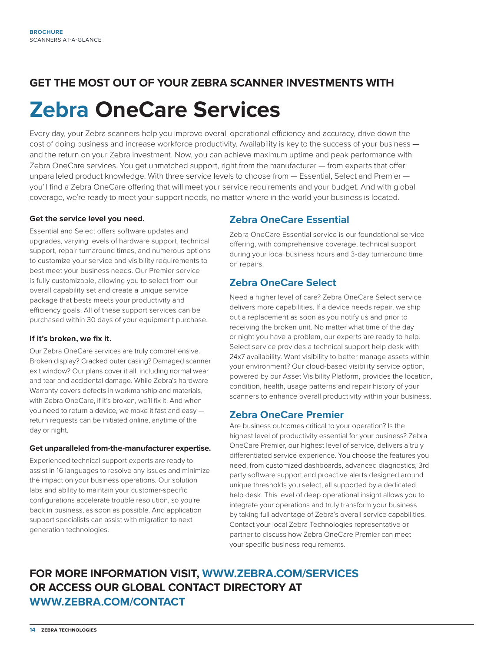# **GET THE MOST OUT OF YOUR ZEBRA SCANNER INVESTMENTS WITH Zebra OneCare Services**

Every day, your Zebra scanners help you improve overall operational efficiency and accuracy, drive down the cost of doing business and increase workforce productivity. Availability is key to the success of your business and the return on your Zebra investment. Now, you can achieve maximum uptime and peak performance with Zebra OneCare services. You get unmatched support, right from the manufacturer — from experts that offer unparalleled product knowledge. With three service levels to choose from — Essential, Select and Premier you'll find a Zebra OneCare offering that will meet your service requirements and your budget. And with global coverage, we're ready to meet your support needs, no matter where in the world your business is located.

#### **Get the service level you need.**

Essential and Select offers software updates and upgrades, varying levels of hardware support, technical support, repair turnaround times, and numerous options to customize your service and visibility requirements to best meet your business needs. Our Premier service is fully customizable, allowing you to select from our overall capability set and create a unique service package that bests meets your productivity and efficiency goals. All of these support services can be purchased within 30 days of your equipment purchase.

#### **If it's broken, we fix it.**

Our Zebra OneCare services are truly comprehensive. Broken display? Cracked outer casing? Damaged scanner exit window? Our plans cover it all, including normal wear and tear and accidental damage. While Zebra's hardware Warranty covers defects in workmanship and materials, with Zebra OneCare, if it's broken, we'll fix it. And when you need to return a device, we make it fast and easy return requests can be initiated online, anytime of the day or night.

#### **Get unparalleled from-the-manufacturer expertise.**

Experienced technical support experts are ready to assist in 16 languages to resolve any issues and minimize the impact on your business operations. Our solution labs and ability to maintain your customer-specific configurations accelerate trouble resolution, so you're back in business, as soon as possible. And application support specialists can assist with migration to next generation technologies.

#### **Zebra OneCare Essential**

Zebra OneCare Essential service is our foundational service offering, with comprehensive coverage, technical support during your local business hours and 3-day turnaround time on repairs.

#### **Zebra OneCare Select**

Need a higher level of care? Zebra OneCare Select service delivers more capabilities. If a device needs repair, we ship out a replacement as soon as you notify us and prior to receiving the broken unit. No matter what time of the day or night you have a problem, our experts are ready to help. Select service provides a technical support help desk with 24x7 availability. Want visibility to better manage assets within your environment? Our cloud-based visibility service option, powered by our Asset Visibility Platform, provides the location, condition, health, usage patterns and repair history of your scanners to enhance overall productivity within your business.

#### **Zebra OneCare Premier**

Are business outcomes critical to your operation? Is the highest level of productivity essential for your business? Zebra OneCare Premier, our highest level of service, delivers a truly differentiated service experience. You choose the features you need, from customized dashboards, advanced diagnostics, 3rd party software support and proactive alerts designed around unique thresholds you select, all supported by a dedicated help desk. This level of deep operational insight allows you to integrate your operations and truly transform your business by taking full advantage of Zebra's overall service capabilities. Contact your local Zebra Technologies representative or partner to discuss how Zebra OneCare Premier can meet your specific business requirements.

#### **FOR MORE INFORMATION VISIT, [WWW.ZEBRA.COM/SERVICES](http://www.ZEBRA.COM/services)  OR ACCESS OUR GLOBAL CONTACT DIRECTORY AT [WWW.ZEBRA.COM/CONTACT](http://www.ZEBRA.com/contact)**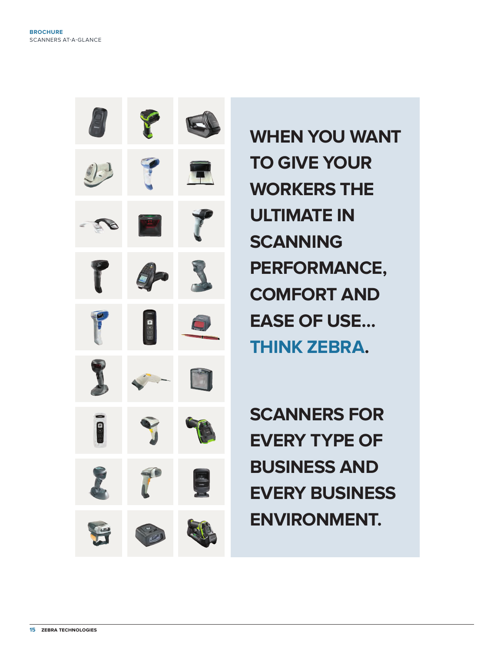

**WHEN YOU WANT TO GIVE YOUR WORKERS THE ULTIMATE IN SCANNING PERFORMANCE, COMFORT AND EASE OF USE… THINK ZEBRA.**

**SCANNERS FOR EVERY TYPE OF BUSINESS AND EVERY BUSINESS ENVIRONMENT.**